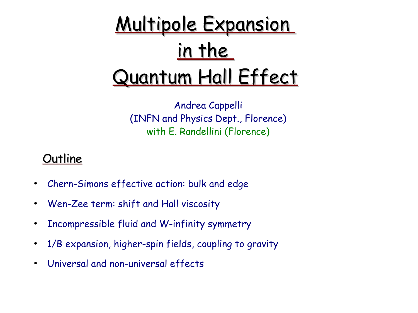

Andrea Cappelli (INFN and Physics Dept., Florence) with E. Randellini (Florence)

#### **Outline**

- Chern-Simons effective action: bulk and edge
- Wen-Zee term: shift and Hall viscosity
- Incompressible fluid and W-infinity symmetry
- 1/B expansion, higher-spin fields, coupling to gravity
- Universal and non-universal effects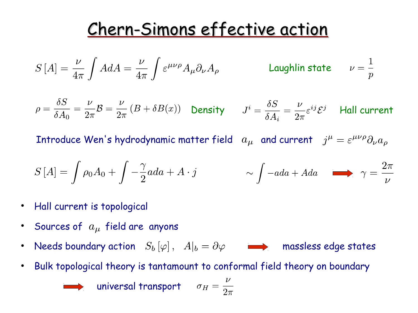# Chern-Simons effective action

$$
S\left[A\right] = \frac{\nu}{4\pi} \int A dA = \frac{\nu}{4\pi} \int \varepsilon^{\mu\nu\rho} A_{\mu} \partial_{\nu} A_{\rho}
$$
 **Laughlin state**  $\nu = \frac{1}{p}$ 

$$
\rho = \frac{\delta S}{\delta A_0} = \frac{\nu}{2\pi} \mathcal{B} = \frac{\nu}{2\pi} \left( B + \delta B(x) \right) \quad \text{Density} \quad J^i = \frac{\delta S}{\delta A_i} = \frac{\nu}{2\pi} \varepsilon^{ij} \mathcal{E}^j \quad \text{Hall current}
$$

Introduce Wen's hydrodynamic matter field  $a_{\mu}$  and current  $j^{\mu} = \varepsilon^{\mu\nu\rho}\partial_{\nu}a_{\rho}$ 

$$
S\left[A\right] = \int \rho_0 A_0 + \int -\frac{\gamma}{2} a da + A \cdot j \qquad \sim \int -a da + A da \qquad \longrightarrow \qquad \gamma = \frac{2\pi}{\nu}
$$

- Hall current is topological
- Sources of  $a_{\mu}$  field are anyons
- Needs boundary action  $S_b[\varphi]$ ,  $A|_b = \partial \varphi$  and massless edge states
- Bulk topological theory is tantamount to conformal field theory on boundary



**universal transport**  $\sigma_I$ 

$$
H = \frac{\nu}{2\pi}
$$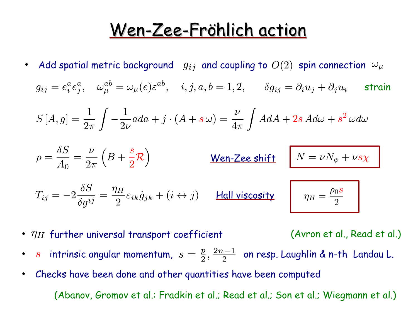## Wen-Zee-Fröhlich action

• Add spatial metric background  $g_{ij}$  and coupling to  $O(2)$  spin connection  $\omega_{\mu}$ 

 $g_{ij}=e^a_ie^a_j, \quad \omega^{ab}_\mu=\omega_\mu(e)\varepsilon^{ab}, \quad i,j,a,b=1,2, \qquad \delta g_{ij}=\partial_iu_j+\partial_ju_i \qquad$ strain

$$
S\left[A,g\right] = \frac{1}{2\pi} \int -\frac{1}{2\nu} a da + j \cdot (A + s\,\omega) = \frac{\nu}{4\pi} \int A dA + 2s \, A d\omega + s^2 \, \omega d\omega
$$

$$
\rho = \frac{\delta S}{A_0} = \frac{\nu}{2\pi} \left( B + \frac{s}{2} \mathcal{R} \right)
$$
 **When-Zee shift** 
$$
N = \nu N_{\phi} + \nu s \chi
$$

$$
T_{ij} = -2\frac{\delta S}{\delta g^{ij}} = \frac{\eta_H}{2}\varepsilon_{ik}\dot{g}_{jk} + (i \leftrightarrow j) \qquad \text{Hall viscosity} \qquad \eta_H = \frac{\rho_0 s}{2}
$$

•  $\eta_H$  further universal transport coefficient

(Avron et al., Read et al.)

- s intrinsic angular momentum,  $s = \frac{p}{2}, \frac{2n-1}{2}$  on resp. Laughlin & n-th Landau L.
- Checks have been done and other quantities have been computed

(Abanov, Gromov et al.: Fradkin et al.; Read et al.; Son et al.; Wiegmann et al.)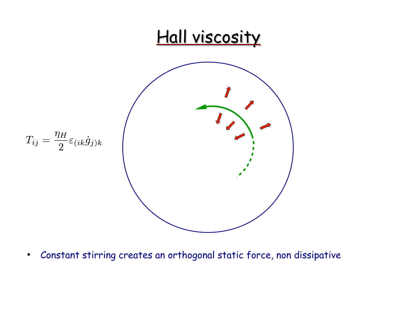

• Constant stirring creates an orthogonal static force, non dissipative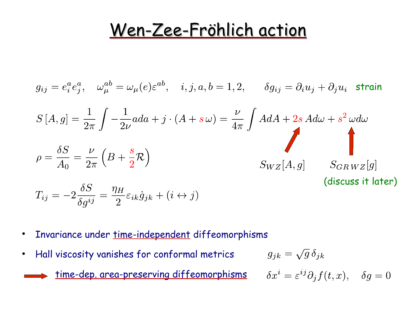#### Wen-Zee-Fröhlich action

$$
g_{ij} = e_i^a e_j^a, \quad \omega_{\mu}^{ab} = \omega_{\mu}(e) \varepsilon^{ab}, \quad i, j, a, b = 1, 2, \qquad \delta g_{ij} = \partial_i u_j + \partial_j u_i \quad \text{strain}
$$
  

$$
S[A, g] = \frac{1}{2\pi} \int -\frac{1}{2\nu} a da + j \cdot (A + s \omega) = \frac{\nu}{4\pi} \int A dA + 2s A d\omega + s^2 \omega d\omega
$$
  

$$
\rho = \frac{\delta S}{A_0} = \frac{\nu}{2\pi} \left( B + \frac{s}{2} \mathcal{R} \right)
$$
  

$$
S_{WZ}[A, g] \qquad S_{GRWZ}[g]
$$
  
(discuss it later)  

$$
T_{ij} = -2 \frac{\delta S}{\delta g^{ij}} = \frac{\eta_H}{2} \varepsilon_{ik} \dot{g}_{jk} + (i \leftrightarrow j)
$$

- Invariance under time-independent diffeomorphisms
- Hall viscosity vanishes for conformal metrics

in 1919.

time-dep. area-preserving diffeomorphisms

$$
g_{jk}=\sqrt{g}\,\delta_{jk}
$$

$$
\delta x^i = \varepsilon^{ij} \partial_j f(t, x), \quad \delta g = 0
$$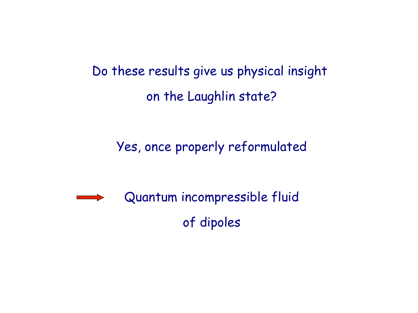Do these results give us physical insight on the Laughlin state?

Yes, once properly reformulated

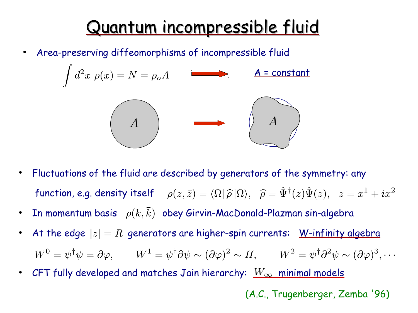## Quantum incompressible fluid

Area-preserving diffeomorphisms of incompressible fluid



- Fluctuations of the fluid are described by generators of the symmetry: any function, e.g. density itself  $\rho(z,\bar{z}) = \langle \Omega | \hat{\rho} | \Omega \rangle$ ,  $\hat{\rho} = \hat{\Psi}^{\dagger}(z) \hat{\Psi}(z)$ ,  $z = x^1 + ix^2$
- In momentum basis  $\rho(k,\overline{k})$  obey Girvin-MacDonald-Plazman sin-algebra
- At the edge  $|z|=R$  generators are higher-spin currents: W-infinity algebra  $W^0 = \psi^{\dagger} \psi = \partial \varphi, \qquad W^1 = \psi^{\dagger} \partial \psi \sim (\partial \varphi)^2 \sim H, \qquad W^2 = \psi^{\dagger} \partial^2 \psi \sim (\partial \varphi)^3, \cdots$
- CFT fully developed and matches Jain hierarchy:  $\textcolor{red}{W_{\infty}}$  minimal models

(A.C., Trugenberger, Zemba '96)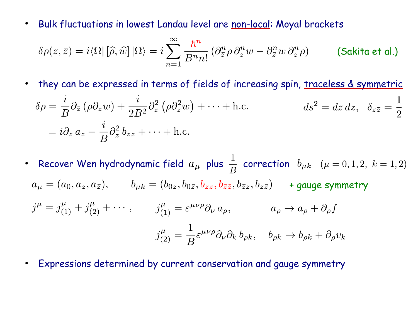• Bulk fluctuations in lowest Landau level are non-local: Moyal brackets

$$
\delta\rho(z,\bar{z})=i\langle\Omega|\left[\widehat{\rho},\widehat{w}\right]|\Omega\rangle=i\sum_{n=1}^{\infty}\frac{\hbar^n}{B^n n!}\left(\partial_{\bar{z}}^n\rho\,\partial_{z}^n w-\partial_{\bar{z}}^n w\,\partial_{z}^n\rho\right)\qquad\text{(Sakita et al.)}
$$

• they can be expressed in terms of fields of increasing spin, traceless & symmetric

$$
\delta \rho = \frac{i}{B} \partial_{\bar{z}} (\rho \partial_z w) + \frac{i}{2B^2} \partial_{\bar{z}}^2 (\rho \partial_z^2 w) + \dots + \text{h.c.} \qquad ds^2 = dz \, d\bar{z}, \quad \delta_{z\bar{z}} = \frac{1}{2}
$$

$$
= i \partial_{\bar{z}} a_z + \frac{i}{B} \partial_{\bar{z}}^2 b_{zz} + \dots + \text{h.c.}
$$

- Recover Wen hydrodynamic field  $a_{\mu}$  plus  $\frac{1}{B}$  correction  $b_{\mu k}$   $(\mu = 0, 1, 2, k = 1, 2)$  $a_{\mu} = (a_0, a_z, a_{\overline{z}}),$   $b_{\mu k} = (b_{0z}, b_{0\overline{z}}, b_{zz}, b_{\overline{z}z}, b_{\overline{z}z}, b_{z\overline{z}})$  + gauge symmetry  $j^{\mu} = j^{\mu}_{(1)} + j^{\mu}_{(2)} + \cdots, \qquad j^{\mu}_{(1)} = \varepsilon^{\mu\nu\rho}\partial_{\nu} a_{\rho}, \qquad a_{\rho} \to a_{\rho} + \partial_{\rho} f$  $j_{(2)}^{\mu} = \frac{1}{B} \varepsilon^{\mu\nu\rho} \partial_{\nu} \partial_{k} b_{\rho k}, \quad b_{\rho k} \to b_{\rho k} + \partial_{\rho} v_{k}$
- Expressions determined by current conservation and gauge symmetry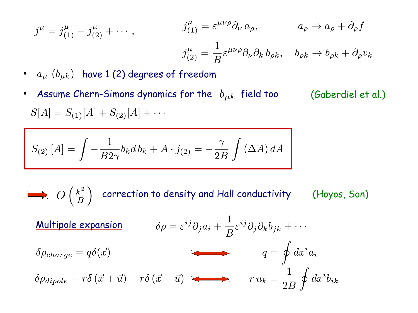$$
j^{\mu} = j^{\mu}_{(1)} + j^{\mu}_{(2)} + \cdots, \qquad j^{\mu}_{(1)} = \varepsilon^{\mu\nu\rho} \partial_{\nu} a_{\rho}, \qquad a_{\rho} \to a_{\rho} + \partial_{\rho} f
$$

$$
j^{\mu}_{(2)} = \frac{1}{B} \varepsilon^{\mu\nu\rho} \partial_{\nu} \partial_{k} b_{\rho k}, \quad b_{\rho k} \to b_{\rho k} + \partial_{\rho} v_{k}
$$

(Gaberdiel et al.)

 $\bullet$  $a_{\mu}$   $(b_{\mu k})$  have 1 (2) degrees of freedom

Assume Chern-Simons dynamics for the  $b_{\mu k}$  field too  $S[A] = S_{(1)}[A] + S_{(2)}[A] + \cdots$ 

$$
S_{(2)}[A] = \int -\frac{1}{B2\gamma} b_k db_k + A \cdot j_{(2)} = -\frac{\gamma}{2B} \int (\Delta A) dA
$$

 $\longrightarrow O\left(\frac{k^2}{B}\right)$  correction to density and Hall conductivity (Hoyos, Son)  $\delta \rho = \varepsilon^{ij} \partial_j a_i + \frac{1}{B} \varepsilon^{ij} \partial_j \partial_k b_{jk} + \cdots$ Multipole expansion $q = \oint dx^i a_i$  $\delta \rho_{charge} = q \delta(\vec{x})$  $\delta \rho_{dipole} = r \delta (\vec{x} + \vec{u}) - r \delta (\vec{x} - \vec{u})$   $r u_k = \frac{1}{2B} \oint dx^i b_{ik}$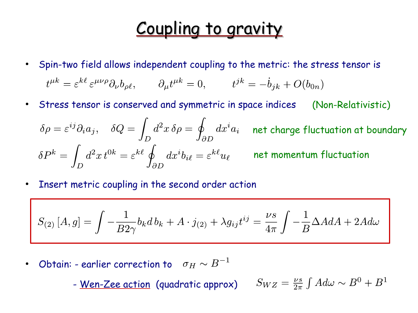## Coupling to gravity

- Spin-two field allows independent coupling to the metric: the stress tensor is  $t^{\mu k} = \varepsilon^{k\ell} \varepsilon^{\mu\nu\rho} \partial_{\nu} b_{\rho \ell}, \qquad \partial_{\mu} t^{\mu k} = 0, \qquad t^{jk} = -\dot{b}_{jk} + O(b_{0n})$
- Stress tensor is conserved and symmetric in space indices (Non-Relativistic)

$$
\delta \rho = \varepsilon^{ij} \partial_i a_j, \quad \delta Q = \int_D d^2 x \, \delta \rho = \oint_{\partial D} dx^i a_i \quad \text{net charge fluctuation at boundary}
$$
\n
$$
\delta P^k = \int_D d^2 x \, t^{0k} = \varepsilon^{k\ell} \oint_{\partial D} dx^i b_{i\ell} = \varepsilon^{k\ell} u_\ell \qquad \text{net momentum fluctuation}
$$

• Insert metric coupling in the second order action

$$
S_{(2)}[A,g] = \int -\frac{1}{B2\gamma} b_k db_k + A \cdot j_{(2)} + \lambda g_{ij} t^{ij} = \frac{\nu s}{4\pi} \int -\frac{1}{B} \Delta A dA + 2A d\omega
$$

• Obtain: - earlier correction to  $\quad \sigma_H \sim B^{-1}$ 

- <u>Wen-Zee action</u> (quadratic approx)  $S_{WZ} = \frac{\nu s}{2\pi} \int A d\omega \sim B^0 + B^1$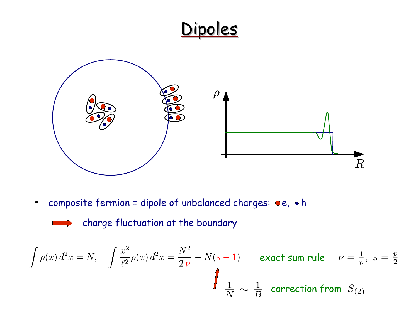#### Dipoles



• composite fermion = dipole of unbalanced charges:  $\bullet$ e,  $\bullet$ h

$$
\qquad \qquad \Longrightarrow
$$

charge fluctuation at the boundary

$$
\int \rho(x) d^2x = N, \quad \int \frac{x^2}{\ell^2} \rho(x) d^2x = \frac{N^2}{2\nu} - N(s-1) \quad \text{exact sum rule} \quad \nu = \frac{1}{p}, \ s = \frac{p}{2}
$$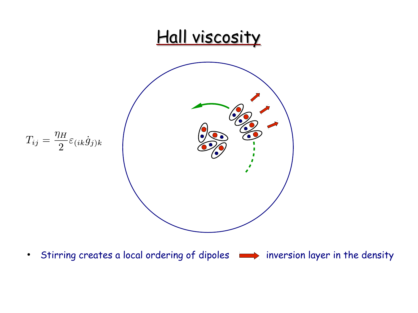

• Stirring creates a local ordering of dipoles  $\longrightarrow$  inversion layer in the density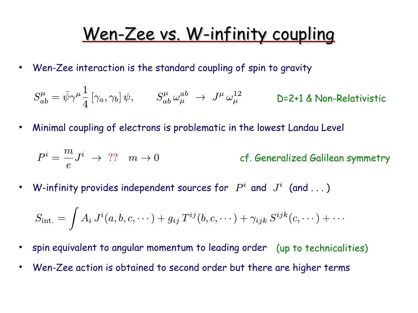## Wen-Zee vs. W-infinity coupling

• Wen-Zee interaction is the standard coupling of spin to gravity

$$
S^\mu_{ab} = \bar{\psi} \gamma^\mu \frac{1}{4} \left[ \gamma_a, \gamma_b \right] \psi, \qquad S^\mu_{ab} \, \omega^{ab}_\mu \ \to \ J^\mu \, \omega^{12}_\mu \qquad \qquad \textsf{D=2+1 4 Non-Relativistic}
$$

• Minimal coupling of electrons is problematic in the lowest Landau Level

$$
P^i = \frac{m}{e} J^i \ \rightarrow \ ? ? \quad m \to 0 \qquad \qquad \qquad \text{cf. Generalized Galilean symmetry}
$$

• W-infinity provides independent sources for  $P^i$  and  $J^i$  (and ...)

$$
S_{\rm int.} = \int A_i J^i(a,b,c,\cdots) + g_{ij} T^{ij}(b,c,\cdots) + \gamma_{ijk} S^{ijk}(c,\cdots) + \cdots
$$

- spin equivalent to angular momentum to leading order (up to technicalities)
- Wen-Zee action is obtained to second order but there are higher terms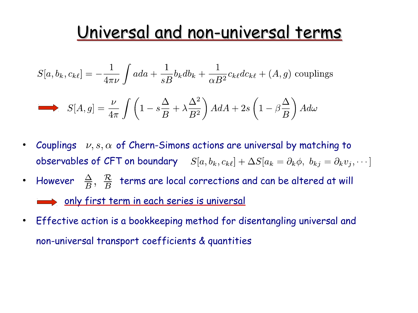## Universal and non-universal terms

$$
S[a, b_k, c_{k\ell}] = -\frac{1}{4\pi\nu} \int ada + \frac{1}{sB} b_k db_k + \frac{1}{\alpha B^2} c_{k\ell} dc_{k\ell} + (A, g) \text{ couplings}
$$

$$
S[A,g] = \frac{\nu}{4\pi} \int \left(1 - s\frac{\Delta}{B} + \lambda \frac{\Delta^2}{B^2}\right) A dA + 2s \left(1 - \beta \frac{\Delta}{B}\right) A d\omega
$$

- Couplings  $\nu, s, \alpha$  of Chern-Simons actions are universal by matching to observables of CFT on boundary  $S[a, b_k, c_{k\ell}] + \Delta S[a_k = \partial_k \phi, b_{kj} = \partial_k v_j, \cdots]$
- However  $\frac{\Delta}{B}, \frac{\mathcal{R}}{B}$  terms are local corrections and can be altered at will only first term in each series is universal
- Effective action is a bookkeeping method for disentangling universal and non-universal transport coefficients & quantities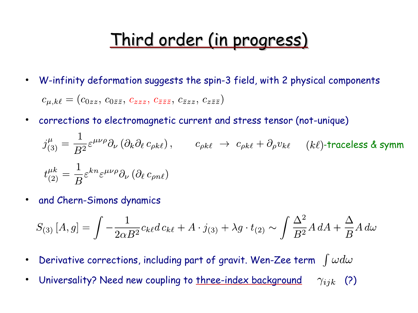# Third order (in progress)

- W-infinity deformation suggests the spin-3 field, with 2 physical components  $c_{\mu,k\ell} = (c_{0zz}, c_{0\bar{z}\bar{z}}, c_{zzz}, c_{\bar{z}\bar{z}\bar{z}}, c_{\bar{z}zz}, c_{\bar{z}\bar{z}\bar{z}})$
- corrections to electromagnetic current and stress tensor (not-unique)

$$
j_{(3)}^{\mu} = \frac{1}{B^2} \varepsilon^{\mu\nu\rho} \partial_{\nu} \left( \partial_k \partial_\ell c_{\rho k \ell} \right), \qquad c_{\rho k \ell} \to c_{\rho k \ell} + \partial_{\rho} v_{k \ell} \qquad (k\ell) \text{-traceless } \& \text{ symm}
$$
  

$$
t_{(2)}^{\mu k} = \frac{1}{B} \varepsilon^{k n} \varepsilon^{\mu\nu\rho} \partial_{\nu} \left( \partial_\ell c_{\rho n \ell} \right)
$$

• and Chern-Simons dynamics

$$
S_{(3)}[A,g] = \int -\frac{1}{2\alpha B^2} c_{k\ell} d\,c_{k\ell} + A \cdot j_{(3)} + \lambda g \cdot t_{(2)} \sim \int \frac{\Delta^2}{B^2} A \, dA + \frac{\Delta}{B} A \, d\omega
$$

- Derivative corrections, including part of gravit. Wen-Zee term  $\int \omega d\omega$
- Universality? Need new coupling to three-index background  $\gamma_{ijk}$  (?)